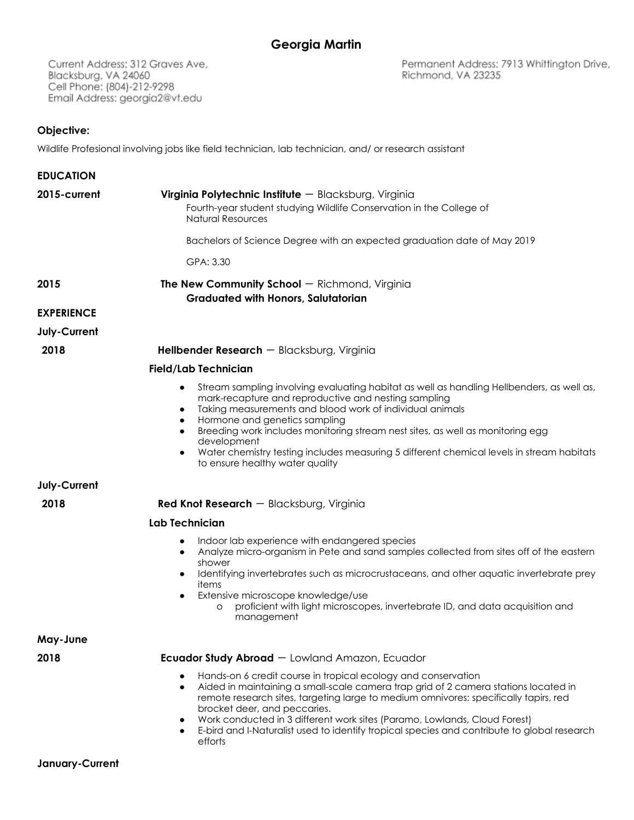Current Address: 312 Graves Ave, Blacksburg, VA 24060 Cell Phone: (804)-212-9298 Email Address: georgia2@vt.edu

Permanent Address: 7913 Whittington Drive, Richmond, VA 23235

## **Objective:**

**January-Current**

Wildlife Profesional involving jobs like field technician, lab technician, and/ or research assistant

| <b>EDUCATION</b>  |                                                                                                                                                                                                                                                                                                                                                                                                                                                                                                                             |
|-------------------|-----------------------------------------------------------------------------------------------------------------------------------------------------------------------------------------------------------------------------------------------------------------------------------------------------------------------------------------------------------------------------------------------------------------------------------------------------------------------------------------------------------------------------|
| 2015-current      | Virginia Polytechnic Institute - Blacksburg, Virginia<br>Fourth-year student studying Wildlife Conservation in the College of<br><b>Natural Resources</b>                                                                                                                                                                                                                                                                                                                                                                   |
|                   | Bachelors of Science Degree with an expected graduation date of May 2019                                                                                                                                                                                                                                                                                                                                                                                                                                                    |
|                   | GPA: 3.30                                                                                                                                                                                                                                                                                                                                                                                                                                                                                                                   |
| 2015              | <b>The New Community School</b> $-$ Richmond, Virginia<br><b>Graduated with Honors, Salutatorian</b>                                                                                                                                                                                                                                                                                                                                                                                                                        |
| <b>EXPERIENCE</b> |                                                                                                                                                                                                                                                                                                                                                                                                                                                                                                                             |
| July-Current      |                                                                                                                                                                                                                                                                                                                                                                                                                                                                                                                             |
| 2018              | <b>Hellbender Research</b> $-$ Blacksburg, Virginia                                                                                                                                                                                                                                                                                                                                                                                                                                                                         |
|                   | <b>Field/Lab Technician</b>                                                                                                                                                                                                                                                                                                                                                                                                                                                                                                 |
|                   | Stream sampling involving evaluating habitat as well as handling Hellbenders, as well as,<br>$\bullet$<br>mark-recapture and reproductive and nesting sampling<br>Taking measurements and blood work of individual animals<br>$\bullet$<br>Hormone and genetics sampling<br>٠<br>Breeding work includes monitoring stream nest sites, as well as monitoring egg<br>$\bullet$<br>development<br>Water chemistry testing includes measuring 5 different chemical levels in stream habitats<br>to ensure healthy water quality |
| July-Current      |                                                                                                                                                                                                                                                                                                                                                                                                                                                                                                                             |
| 2018              | <b>Red Knot Research</b> $-$ Blacksburg, Virginia                                                                                                                                                                                                                                                                                                                                                                                                                                                                           |
|                   | <b>Lab Technician</b>                                                                                                                                                                                                                                                                                                                                                                                                                                                                                                       |
|                   | Indoor lab experience with endangered species<br>٠<br>Analyze micro-organism in Pete and sand samples collected from sites off of the eastern<br>$\bullet$<br>shower<br>Identifying invertebrates such as microcrustaceans, and other aquatic invertebrate prey<br>$\bullet$<br>items<br>Extensive microscope knowledge/use<br>$\bullet$<br>proficient with light microscopes, invertebrate ID, and data acquisition and<br>O<br>management                                                                                 |
| May-June          |                                                                                                                                                                                                                                                                                                                                                                                                                                                                                                                             |
| 2018              | <b>Ecuador Study Abroad</b> - Lowland Amazon, Ecuador                                                                                                                                                                                                                                                                                                                                                                                                                                                                       |
|                   | Hands-on 6 credit course in tropical ecology and conservation<br>$\bullet$<br>Aided in maintaining a small-scale camera trap grid of 2 camera stations located in<br>$\bullet$<br>remote research sites, targeting large to medium omnivores: specifically tapirs, red<br>brocket deer, and peccaries.<br>Work conducted in 3 different work sites (Paramo, Lowlands, Cloud Forest)<br>E-bird and I-Naturalist used to identify tropical species and contribute to global research<br>$\bullet$<br>efforts                  |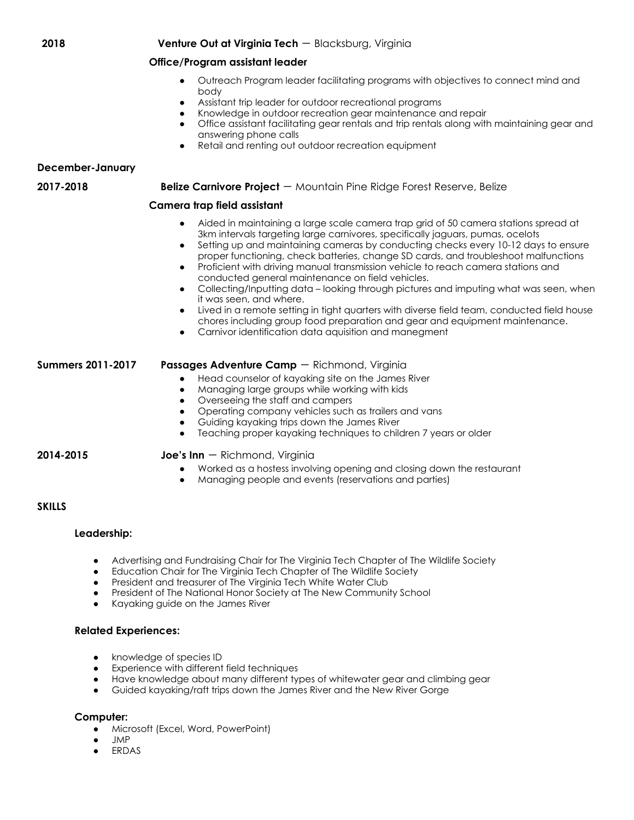### **2018 Venture Out at Virginia Tech** - Blacksburg, Virginia

### **Office/Program assistant leader**

- Outreach Program leader facilitating programs with objectives to connect mind and body
- Assistant trip leader for outdoor recreational programs
- Knowledge in outdoor recreation gear maintenance and repair
- Office assistant facilitating gear rentals and trip rentals along with maintaining gear and answering phone calls
- Retail and renting out outdoor recreation equipment

### **December-January**

#### **2017-2018 Belize Carnivore Project** - Mountain Pine Ridge Forest Reserve, Belize

### **Camera trap field assistant**

- Aided in maintaining a large scale camera trap grid of 50 camera stations spread at 3km intervals targeting large carnivores, specifically jaguars, pumas, ocelots
- Setting up and maintaining cameras by conducting checks every 10-12 days to ensure proper functioning, check batteries, change SD cards, and troubleshoot malfunctions
- Proficient with driving manual transmission vehicle to reach camera stations and conducted general maintenance on field vehicles.
- Collecting/Inputting data looking through pictures and imputing what was seen, when it was seen, and where.
- Lived in a remote setting in tight quarters with diverse field team, conducted field house chores including group food preparation and gear and equipment maintenance.
- Carnivor identification data aquisition and manegment

### **Summers 2011-2017 Passages Adventure Camp** - Richmond, Virginia

- Head counselor of kayaking site on the James River
- Managing large groups while working with kids
- Overseeing the staff and campers
- Operating company vehicles such as trailers and vans
- Guiding kayaking trips down the James River
- Teaching proper kayaking techniques to children 7 years or older

### **2014-2015 Joe's Inn** - Richmond, Virginia

- Worked as a hostess involving opening and closing down the restaurant
- Managing people and events (reservations and parties)

# **SKILLS**

### **Leadership:**

- Advertising and Fundraising Chair for The Virginia Tech Chapter of The Wildlife Society
- Education Chair for The Virginia Tech Chapter of The Wildlife Society
- President and treasurer of The Virginia Tech White Water Club
- President of The National Honor Society at The New Community School
- Kayaking guide on the James River

# **Related Experiences:**

- knowledge of species ID
- Experience with different field techniques
- Have knowledge about many different types of whitewater gear and climbing gear
- Guided kayaking/raft trips down the James River and the New River Gorge

# **Computer:**

- **●** Microsoft (Excel, Word, PowerPoint)
- **●** JMP
- **ERDAS**